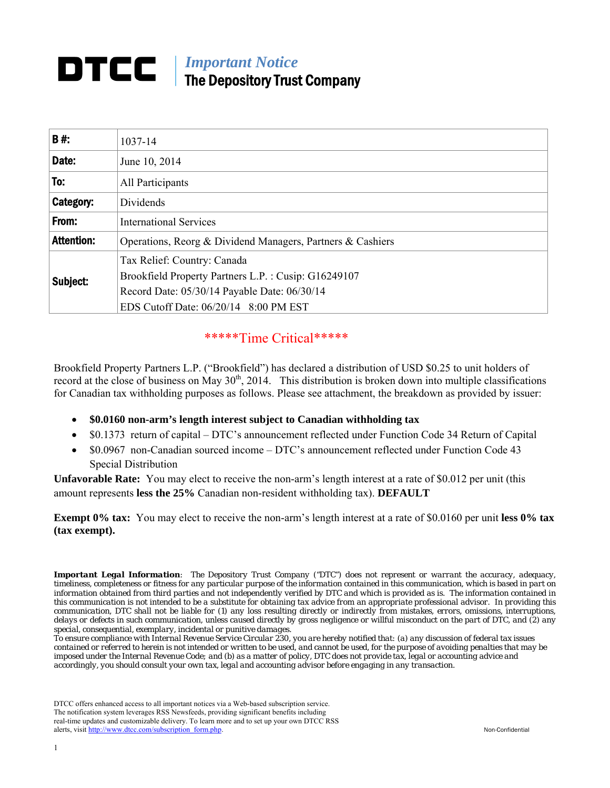# *Important Notice*  The Depository Trust Company

| <b>B#:</b>        | 1037-14                                                                                                                                                                     |  |  |  |  |
|-------------------|-----------------------------------------------------------------------------------------------------------------------------------------------------------------------------|--|--|--|--|
| Date:             | June 10, 2014                                                                                                                                                               |  |  |  |  |
| To:               | All Participants                                                                                                                                                            |  |  |  |  |
| Category:         | Dividends                                                                                                                                                                   |  |  |  |  |
| From:             | <b>International Services</b>                                                                                                                                               |  |  |  |  |
| <b>Attention:</b> | Operations, Reorg & Dividend Managers, Partners & Cashiers                                                                                                                  |  |  |  |  |
| Subject:          | Tax Relief: Country: Canada<br>Brookfield Property Partners L.P.: Cusip: G16249107<br>Record Date: 05/30/14 Payable Date: 06/30/14<br>EDS Cutoff Date: 06/20/14 8:00 PM EST |  |  |  |  |

# \*\*\*\*\*Time Critical\*\*\*\*\*

Brookfield Property Partners L.P. ("Brookfield") has declared a distribution of USD \$0.25 to unit holders of record at the close of business on May  $30<sup>th</sup>$ , 2014. This distribution is broken down into multiple classifications for Canadian tax withholding purposes as follows. Please see attachment, the breakdown as provided by issuer:

- **\$0.0160 non-arm's length interest subject to Canadian withholding tax**
- \$0.1373 return of capital DTC's announcement reflected under Function Code 34 Return of Capital
- \$0.0967 non-Canadian sourced income DTC's announcement reflected under Function Code 43 Special Distribution

**Unfavorable Rate:** You may elect to receive the non-arm's length interest at a rate of \$0.012 per unit (this amount represents **less the 25%** Canadian non-resident withholding tax). **DEFAULT**

**Exempt 0% tax:** You may elect to receive the non-arm's length interest at a rate of \$0.0160 per unit **less 0% tax (tax exempt).** 

*Important Legal Information: The Depository Trust Company ("DTC") does not represent or warrant the accuracy, adequacy, timeliness, completeness or fitness for any particular purpose of the information contained in this communication, which is based in part on information obtained from third parties and not independently verified by DTC and which is provided as is. The information contained in this communication is not intended to be a substitute for obtaining tax advice from an appropriate professional advisor. In providing this communication, DTC shall not be liable for (1) any loss resulting directly or indirectly from mistakes, errors, omissions, interruptions, delays or defects in such communication, unless caused directly by gross negligence or willful misconduct on the part of DTC, and (2) any special, consequential, exemplary, incidental or punitive damages.* 

*To ensure compliance with Internal Revenue Service Circular 230, you are hereby notified that: (a) any discussion of federal tax issues contained or referred to herein is not intended or written to be used, and cannot be used, for the purpose of avoiding penalties that may be imposed under the Internal Revenue Code; and (b) as a matter of policy, DTC does not provide tax, legal or accounting advice and accordingly, you should consult your own tax, legal and accounting advisor before engaging in any transaction.* 

DTCC offers enhanced access to all important notices via a Web-based subscription service. The notification system leverages RSS Newsfeeds, providing significant benefits including real-time updates and customizable delivery. To learn more and to set up your own DTCC RSS alerts, visit http://www.dtcc.com/subscription\_form.php. Non-Confidential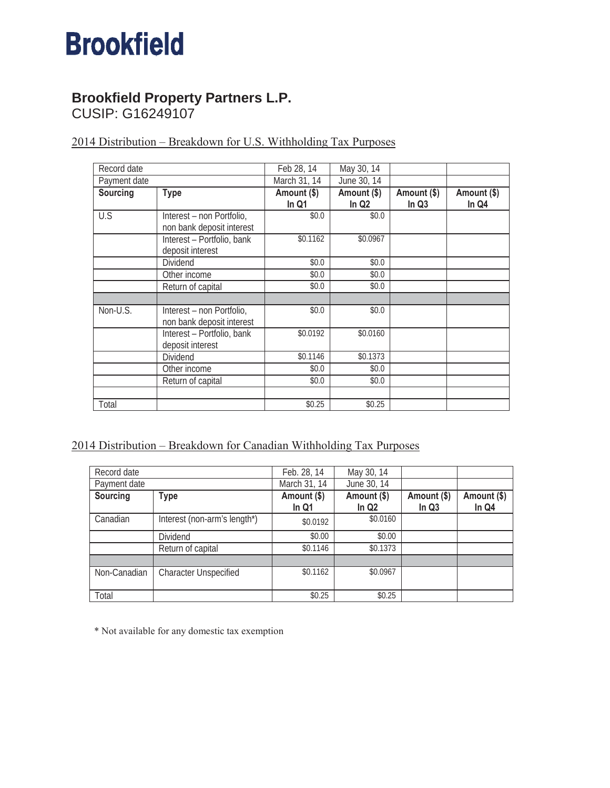# **Brookfield**

# **Brookfield Property Partners L.P.**

CUSIP: G16249107

| Record date  |                                                        | Feb 28, 14           | May 30, 14                       |                      |                      |
|--------------|--------------------------------------------------------|----------------------|----------------------------------|----------------------|----------------------|
| Payment date |                                                        | March 31, 14         | June 30, 14                      |                      |                      |
| Sourcing     | <b>Type</b>                                            | Amount (\$)<br>In Q1 | Amount (\$)<br>In Q <sub>2</sub> | Amount (\$)<br>In Q3 | Amount (\$)<br>In Q4 |
| U.S          | Interest - non Portfolio,<br>non bank deposit interest | \$0.0                | \$0.0                            |                      |                      |
|              | Interest - Portfolio, bank<br>deposit interest         | \$0.1162             | \$0.0967                         |                      |                      |
|              | Dividend                                               | \$0.0                | \$0.0\$                          |                      |                      |
|              | Other income                                           | \$0.0                | \$0.0                            |                      |                      |
|              | Return of capital                                      | \$0.0                | \$0.0\$                          |                      |                      |
|              |                                                        |                      |                                  |                      |                      |
| Non-U.S.     | Interest – non Portfolio,<br>non bank deposit interest | \$0.0                | \$0.0\$                          |                      |                      |
|              | Interest - Portfolio, bank<br>deposit interest         | \$0.0192             | \$0.0160                         |                      |                      |
|              | Dividend                                               | \$0.1146             | \$0.1373                         |                      |                      |
|              | Other income                                           | \$0.0\$              | \$0.0\$                          |                      |                      |
|              | Return of capital                                      | \$0.0                | \$0.0\$                          |                      |                      |
|              |                                                        |                      |                                  |                      |                      |
| Total        |                                                        | \$0.25               | \$0.25                           |                      |                      |

2014 Distribution – Breakdown for U.S. Withholding Tax Purposes

## 2014 Distribution – Breakdown for Canadian Withholding Tax Purposes

| Record date  |                              | Feb. 28, 14            | May 30, 14             |                                  |                      |
|--------------|------------------------------|------------------------|------------------------|----------------------------------|----------------------|
| Payment date |                              | March 31, 14           | June 30, 14            |                                  |                      |
| Sourcing     | Type                         | Amount (\$)<br>In $Q1$ | Amount (\$)<br>In $Q2$ | Amount (\$)<br>In Q <sub>3</sub> | Amount (\$)<br>In Q4 |
| Canadian     | Interest (non-arm's length*) | \$0.0192               | \$0.0160               |                                  |                      |
|              | Dividend                     | \$0.00                 | \$0.00                 |                                  |                      |
|              | Return of capital            | \$0.1146               | \$0.1373               |                                  |                      |
|              |                              |                        |                        |                                  |                      |
| Non-Canadian | <b>Character Unspecified</b> | \$0.1162               | \$0.0967               |                                  |                      |
| Total        |                              | \$0.25                 | \$0.25                 |                                  |                      |

\* Not available for any domestic tax exemption